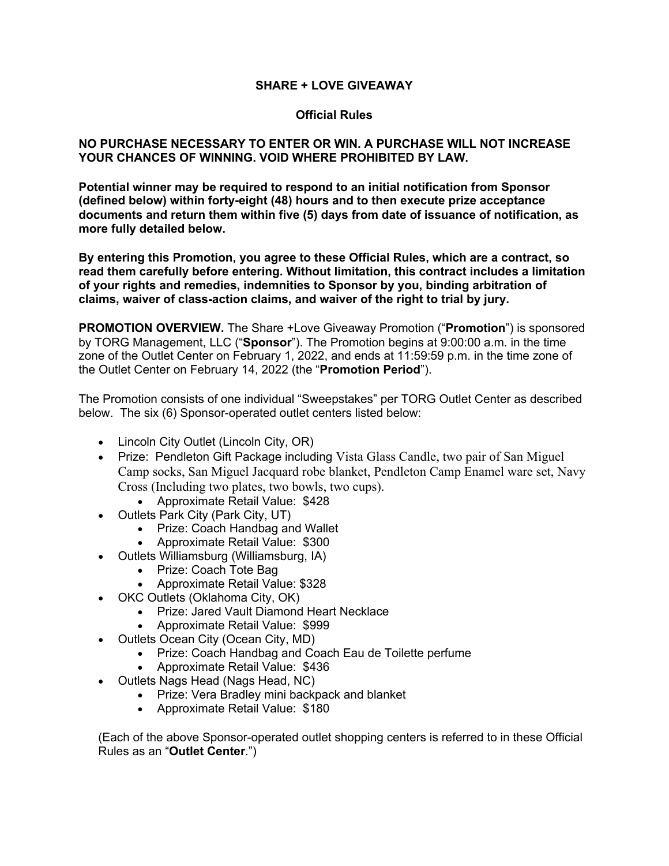### **SHARE + LOVE GIVEAWAY**

#### **Official Rules**

#### **NO PURCHASE NECESSARY TO ENTER OR WIN. A PURCHASE WILL NOT INCREASE YOUR CHANCES OF WINNING. VOID WHERE PROHIBITED BY LAW.**

**Potential winner may be required to respond to an initial notification from Sponsor (defined below) within forty-eight (48) hours and to then execute prize acceptance documents and return them within five (5) days from date of issuance of notification, as more fully detailed below.** 

**By entering this Promotion, you agree to these Official Rules, which are a contract, so read them carefully before entering. Without limitation, this contract includes a limitation of your rights and remedies, indemnities to Sponsor by you, binding arbitration of claims, waiver of class-action claims, and waiver of the right to trial by jury.** 

**PROMOTION OVERVIEW.** The Share +Love Giveaway Promotion ("**Promotion**") is sponsored by TORG Management, LLC ("**Sponsor**"). The Promotion begins at 9:00:00 a.m. in the time zone of the Outlet Center on February 1, 2022, and ends at 11:59:59 p.m. in the time zone of the Outlet Center on February 14, 2022 (the "**Promotion Period**").

The Promotion consists of one individual "Sweepstakes" per TORG Outlet Center as described below. The six (6) Sponsor-operated outlet centers listed below:

- Lincoln City Outlet (Lincoln City, OR)
- Prize: Pendleton Gift Package including Vista Glass Candle, two pair of San Miguel Camp socks, San Miguel Jacquard robe blanket, Pendleton Camp Enamel ware set, Navy Cross (Including two plates, two bowls, two cups).
	- Approximate Retail Value: \$428
- Outlets Park City (Park City, UT)
	- Prize: Coach Handbag and Wallet
	- Approximate Retail Value: \$300
- Outlets Williamsburg (Williamsburg, IA)
	- Prize: Coach Tote Bag
		- Approximate Retail Value: \$328
- OKC Outlets (Oklahoma City, OK)
	- Prize: Jared Vault Diamond Heart Necklace
	- Approximate Retail Value: \$999
- Outlets Ocean City (Ocean City, MD)
	- Prize: Coach Handbag and Coach Eau de Toilette perfume
	- Approximate Retail Value: \$436
- Outlets Nags Head (Nags Head, NC)
	- Prize: Vera Bradley mini backpack and blanket
	- Approximate Retail Value: \$180

(Each of the above Sponsor-operated outlet shopping centers is referred to in these Official Rules as an "**Outlet Center**.")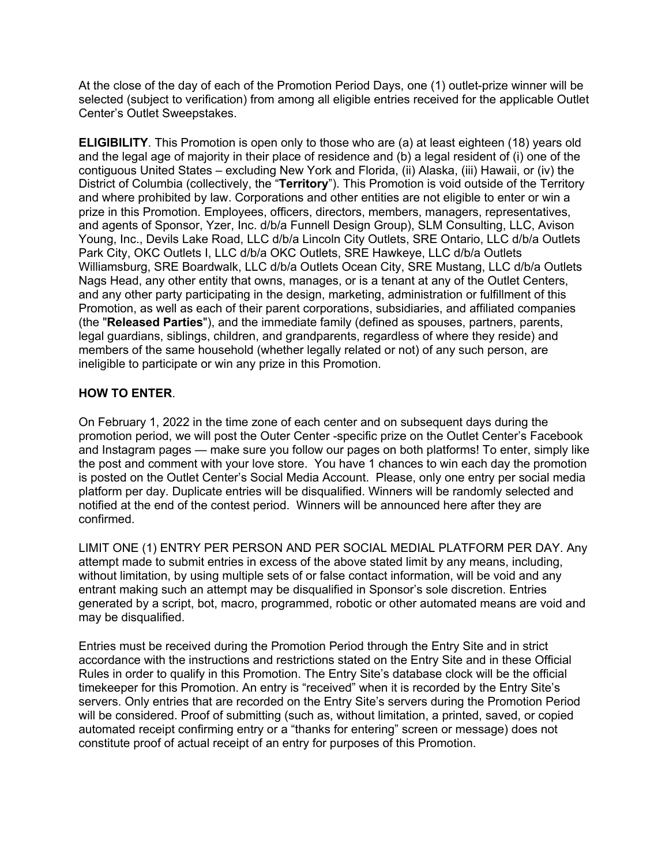At the close of the day of each of the Promotion Period Days, one (1) outlet-prize winner will be selected (subject to verification) from among all eligible entries received for the applicable Outlet Center's Outlet Sweepstakes.

**ELIGIBILITY**. This Promotion is open only to those who are (a) at least eighteen (18) years old and the legal age of majority in their place of residence and (b) a legal resident of (i) one of the contiguous United States – excluding New York and Florida, (ii) Alaska, (iii) Hawaii, or (iv) the District of Columbia (collectively, the "**Territory**"). This Promotion is void outside of the Territory and where prohibited by law. Corporations and other entities are not eligible to enter or win a prize in this Promotion. Employees, officers, directors, members, managers, representatives, and agents of Sponsor, Yzer, Inc. d/b/a Funnell Design Group), SLM Consulting, LLC, Avison Young, Inc., Devils Lake Road, LLC d/b/a Lincoln City Outlets, SRE Ontario, LLC d/b/a Outlets Park City, OKC Outlets I, LLC d/b/a OKC Outlets, SRE Hawkeye, LLC d/b/a Outlets Williamsburg, SRE Boardwalk, LLC d/b/a Outlets Ocean City, SRE Mustang, LLC d/b/a Outlets Nags Head, any other entity that owns, manages, or is a tenant at any of the Outlet Centers, and any other party participating in the design, marketing, administration or fulfillment of this Promotion, as well as each of their parent corporations, subsidiaries, and affiliated companies (the "**Released Parties**"), and the immediate family (defined as spouses, partners, parents, legal guardians, siblings, children, and grandparents, regardless of where they reside) and members of the same household (whether legally related or not) of any such person, are ineligible to participate or win any prize in this Promotion.

## **HOW TO ENTER**.

On February 1, 2022 in the time zone of each center and on subsequent days during the promotion period, we will post the Outer Center -specific prize on the Outlet Center's Facebook and Instagram pages — make sure you follow our pages on both platforms! To enter, simply like the post and comment with your love store. You have 1 chances to win each day the promotion is posted on the Outlet Center's Social Media Account. Please, only one entry per social media platform per day. Duplicate entries will be disqualified. Winners will be randomly selected and notified at the end of the contest period. Winners will be announced here after they are confirmed.

LIMIT ONE (1) ENTRY PER PERSON AND PER SOCIAL MEDIAL PLATFORM PER DAY. Any attempt made to submit entries in excess of the above stated limit by any means, including, without limitation, by using multiple sets of or false contact information, will be void and any entrant making such an attempt may be disqualified in Sponsor's sole discretion. Entries generated by a script, bot, macro, programmed, robotic or other automated means are void and may be disqualified.

Entries must be received during the Promotion Period through the Entry Site and in strict accordance with the instructions and restrictions stated on the Entry Site and in these Official Rules in order to qualify in this Promotion. The Entry Site's database clock will be the official timekeeper for this Promotion. An entry is "received" when it is recorded by the Entry Site's servers. Only entries that are recorded on the Entry Site's servers during the Promotion Period will be considered. Proof of submitting (such as, without limitation, a printed, saved, or copied automated receipt confirming entry or a "thanks for entering" screen or message) does not constitute proof of actual receipt of an entry for purposes of this Promotion.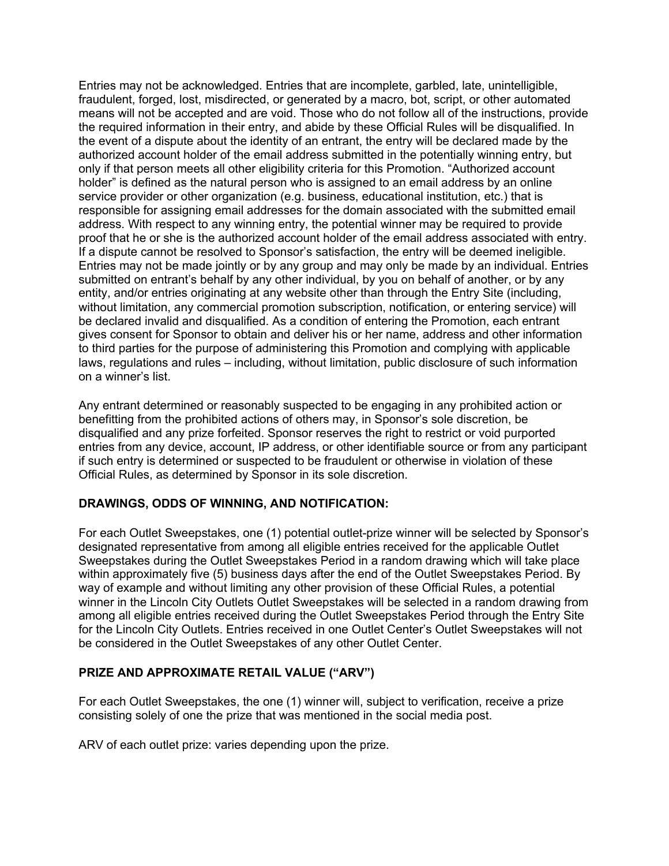Entries may not be acknowledged. Entries that are incomplete, garbled, late, unintelligible, fraudulent, forged, lost, misdirected, or generated by a macro, bot, script, or other automated means will not be accepted and are void. Those who do not follow all of the instructions, provide the required information in their entry, and abide by these Official Rules will be disqualified. In the event of a dispute about the identity of an entrant, the entry will be declared made by the authorized account holder of the email address submitted in the potentially winning entry, but only if that person meets all other eligibility criteria for this Promotion. "Authorized account holder" is defined as the natural person who is assigned to an email address by an online service provider or other organization (e.g. business, educational institution, etc.) that is responsible for assigning email addresses for the domain associated with the submitted email address. With respect to any winning entry, the potential winner may be required to provide proof that he or she is the authorized account holder of the email address associated with entry. If a dispute cannot be resolved to Sponsor's satisfaction, the entry will be deemed ineligible. Entries may not be made jointly or by any group and may only be made by an individual. Entries submitted on entrant's behalf by any other individual, by you on behalf of another, or by any entity, and/or entries originating at any website other than through the Entry Site (including, without limitation, any commercial promotion subscription, notification, or entering service) will be declared invalid and disqualified. As a condition of entering the Promotion, each entrant gives consent for Sponsor to obtain and deliver his or her name, address and other information to third parties for the purpose of administering this Promotion and complying with applicable laws, regulations and rules – including, without limitation, public disclosure of such information on a winner's list.

Any entrant determined or reasonably suspected to be engaging in any prohibited action or benefitting from the prohibited actions of others may, in Sponsor's sole discretion, be disqualified and any prize forfeited. Sponsor reserves the right to restrict or void purported entries from any device, account, IP address, or other identifiable source or from any participant if such entry is determined or suspected to be fraudulent or otherwise in violation of these Official Rules, as determined by Sponsor in its sole discretion.

### **DRAWINGS, ODDS OF WINNING, AND NOTIFICATION:**

For each Outlet Sweepstakes, one (1) potential outlet-prize winner will be selected by Sponsor's designated representative from among all eligible entries received for the applicable Outlet Sweepstakes during the Outlet Sweepstakes Period in a random drawing which will take place within approximately five (5) business days after the end of the Outlet Sweepstakes Period. By way of example and without limiting any other provision of these Official Rules, a potential winner in the Lincoln City Outlets Outlet Sweepstakes will be selected in a random drawing from among all eligible entries received during the Outlet Sweepstakes Period through the Entry Site for the Lincoln City Outlets. Entries received in one Outlet Center's Outlet Sweepstakes will not be considered in the Outlet Sweepstakes of any other Outlet Center.

### **PRIZE AND APPROXIMATE RETAIL VALUE ("ARV")**

For each Outlet Sweepstakes, the one (1) winner will, subject to verification, receive a prize consisting solely of one the prize that was mentioned in the social media post.

ARV of each outlet prize: varies depending upon the prize.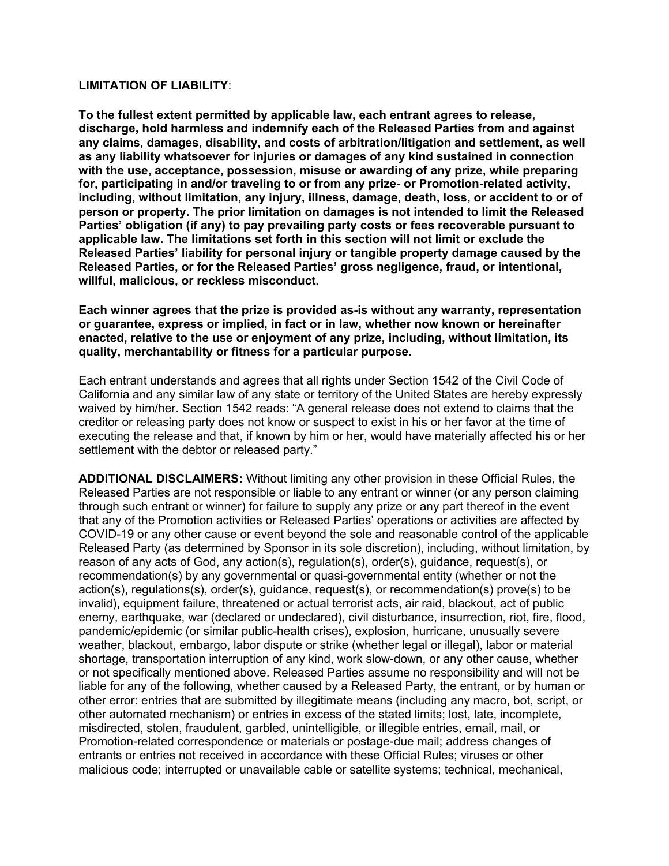#### **LIMITATION OF LIABILITY**:

**To the fullest extent permitted by applicable law, each entrant agrees to release, discharge, hold harmless and indemnify each of the Released Parties from and against any claims, damages, disability, and costs of arbitration/litigation and settlement, as well as any liability whatsoever for injuries or damages of any kind sustained in connection with the use, acceptance, possession, misuse or awarding of any prize, while preparing for, participating in and/or traveling to or from any prize- or Promotion-related activity, including, without limitation, any injury, illness, damage, death, loss, or accident to or of person or property. The prior limitation on damages is not intended to limit the Released Parties' obligation (if any) to pay prevailing party costs or fees recoverable pursuant to applicable law. The limitations set forth in this section will not limit or exclude the Released Parties' liability for personal injury or tangible property damage caused by the Released Parties, or for the Released Parties' gross negligence, fraud, or intentional, willful, malicious, or reckless misconduct.** 

**Each winner agrees that the prize is provided as-is without any warranty, representation or guarantee, express or implied, in fact or in law, whether now known or hereinafter enacted, relative to the use or enjoyment of any prize, including, without limitation, its quality, merchantability or fitness for a particular purpose.** 

Each entrant understands and agrees that all rights under Section 1542 of the Civil Code of California and any similar law of any state or territory of the United States are hereby expressly waived by him/her. Section 1542 reads: "A general release does not extend to claims that the creditor or releasing party does not know or suspect to exist in his or her favor at the time of executing the release and that, if known by him or her, would have materially affected his or her settlement with the debtor or released party."

**ADDITIONAL DISCLAIMERS:** Without limiting any other provision in these Official Rules, the Released Parties are not responsible or liable to any entrant or winner (or any person claiming through such entrant or winner) for failure to supply any prize or any part thereof in the event that any of the Promotion activities or Released Parties' operations or activities are affected by COVID-19 or any other cause or event beyond the sole and reasonable control of the applicable Released Party (as determined by Sponsor in its sole discretion), including, without limitation, by reason of any acts of God, any action(s), regulation(s), order(s), guidance, request(s), or recommendation(s) by any governmental or quasi-governmental entity (whether or not the action(s), regulations(s), order(s), guidance, request(s), or recommendation(s) prove(s) to be invalid), equipment failure, threatened or actual terrorist acts, air raid, blackout, act of public enemy, earthquake, war (declared or undeclared), civil disturbance, insurrection, riot, fire, flood, pandemic/epidemic (or similar public-health crises), explosion, hurricane, unusually severe weather, blackout, embargo, labor dispute or strike (whether legal or illegal), labor or material shortage, transportation interruption of any kind, work slow-down, or any other cause, whether or not specifically mentioned above. Released Parties assume no responsibility and will not be liable for any of the following, whether caused by a Released Party, the entrant, or by human or other error: entries that are submitted by illegitimate means (including any macro, bot, script, or other automated mechanism) or entries in excess of the stated limits; lost, late, incomplete, misdirected, stolen, fraudulent, garbled, unintelligible, or illegible entries, email, mail, or Promotion-related correspondence or materials or postage-due mail; address changes of entrants or entries not received in accordance with these Official Rules; viruses or other malicious code; interrupted or unavailable cable or satellite systems; technical, mechanical,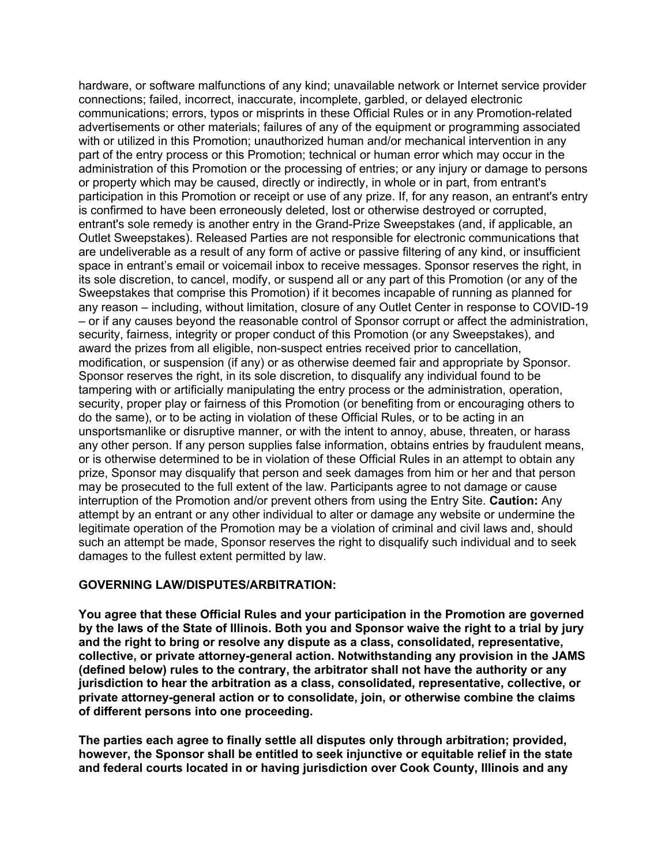hardware, or software malfunctions of any kind; unavailable network or Internet service provider connections; failed, incorrect, inaccurate, incomplete, garbled, or delayed electronic communications; errors, typos or misprints in these Official Rules or in any Promotion-related advertisements or other materials; failures of any of the equipment or programming associated with or utilized in this Promotion; unauthorized human and/or mechanical intervention in any part of the entry process or this Promotion; technical or human error which may occur in the administration of this Promotion or the processing of entries; or any injury or damage to persons or property which may be caused, directly or indirectly, in whole or in part, from entrant's participation in this Promotion or receipt or use of any prize. If, for any reason, an entrant's entry is confirmed to have been erroneously deleted, lost or otherwise destroyed or corrupted, entrant's sole remedy is another entry in the Grand-Prize Sweepstakes (and, if applicable, an Outlet Sweepstakes). Released Parties are not responsible for electronic communications that are undeliverable as a result of any form of active or passive filtering of any kind, or insufficient space in entrant's email or voicemail inbox to receive messages. Sponsor reserves the right, in its sole discretion, to cancel, modify, or suspend all or any part of this Promotion (or any of the Sweepstakes that comprise this Promotion) if it becomes incapable of running as planned for any reason – including, without limitation, closure of any Outlet Center in response to COVID-19 – or if any causes beyond the reasonable control of Sponsor corrupt or affect the administration, security, fairness, integrity or proper conduct of this Promotion (or any Sweepstakes), and award the prizes from all eligible, non-suspect entries received prior to cancellation, modification, or suspension (if any) or as otherwise deemed fair and appropriate by Sponsor. Sponsor reserves the right, in its sole discretion, to disqualify any individual found to be tampering with or artificially manipulating the entry process or the administration, operation, security, proper play or fairness of this Promotion (or benefiting from or encouraging others to do the same), or to be acting in violation of these Official Rules, or to be acting in an unsportsmanlike or disruptive manner, or with the intent to annoy, abuse, threaten, or harass any other person. If any person supplies false information, obtains entries by fraudulent means, or is otherwise determined to be in violation of these Official Rules in an attempt to obtain any prize, Sponsor may disqualify that person and seek damages from him or her and that person may be prosecuted to the full extent of the law. Participants agree to not damage or cause interruption of the Promotion and/or prevent others from using the Entry Site. **Caution:** Any attempt by an entrant or any other individual to alter or damage any website or undermine the legitimate operation of the Promotion may be a violation of criminal and civil laws and, should such an attempt be made, Sponsor reserves the right to disqualify such individual and to seek damages to the fullest extent permitted by law.

### **GOVERNING LAW/DISPUTES/ARBITRATION:**

**You agree that these Official Rules and your participation in the Promotion are governed by the laws of the State of Illinois. Both you and Sponsor waive the right to a trial by jury and the right to bring or resolve any dispute as a class, consolidated, representative, collective, or private attorney-general action. Notwithstanding any provision in the JAMS (defined below) rules to the contrary, the arbitrator shall not have the authority or any jurisdiction to hear the arbitration as a class, consolidated, representative, collective, or private attorney-general action or to consolidate, join, or otherwise combine the claims of different persons into one proceeding.** 

**The parties each agree to finally settle all disputes only through arbitration; provided, however, the Sponsor shall be entitled to seek injunctive or equitable relief in the state and federal courts located in or having jurisdiction over Cook County, Illinois and any**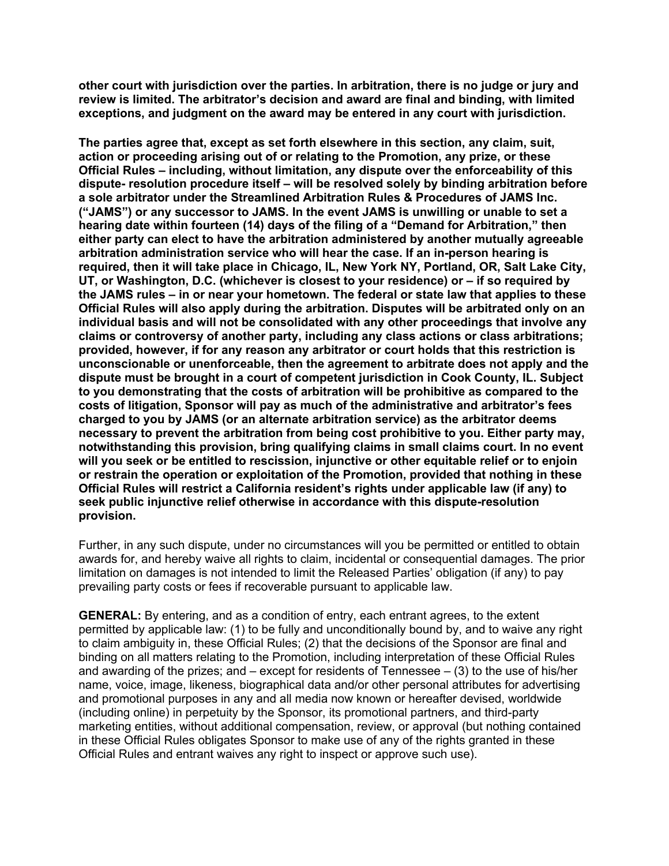**other court with jurisdiction over the parties. In arbitration, there is no judge or jury and review is limited. The arbitrator's decision and award are final and binding, with limited exceptions, and judgment on the award may be entered in any court with jurisdiction.** 

**The parties agree that, except as set forth elsewhere in this section, any claim, suit, action or proceeding arising out of or relating to the Promotion, any prize, or these Official Rules – including, without limitation, any dispute over the enforceability of this dispute- resolution procedure itself – will be resolved solely by binding arbitration before a sole arbitrator under the Streamlined Arbitration Rules & Procedures of JAMS Inc. ("JAMS") or any successor to JAMS. In the event JAMS is unwilling or unable to set a hearing date within fourteen (14) days of the filing of a "Demand for Arbitration," then either party can elect to have the arbitration administered by another mutually agreeable arbitration administration service who will hear the case. If an in-person hearing is required, then it will take place in Chicago, IL, New York NY, Portland, OR, Salt Lake City, UT, or Washington, D.C. (whichever is closest to your residence) or – if so required by the JAMS rules – in or near your hometown. The federal or state law that applies to these Official Rules will also apply during the arbitration. Disputes will be arbitrated only on an individual basis and will not be consolidated with any other proceedings that involve any claims or controversy of another party, including any class actions or class arbitrations; provided, however, if for any reason any arbitrator or court holds that this restriction is unconscionable or unenforceable, then the agreement to arbitrate does not apply and the dispute must be brought in a court of competent jurisdiction in Cook County, IL. Subject to you demonstrating that the costs of arbitration will be prohibitive as compared to the costs of litigation, Sponsor will pay as much of the administrative and arbitrator's fees charged to you by JAMS (or an alternate arbitration service) as the arbitrator deems necessary to prevent the arbitration from being cost prohibitive to you. Either party may, notwithstanding this provision, bring qualifying claims in small claims court. In no event will you seek or be entitled to rescission, injunctive or other equitable relief or to enjoin or restrain the operation or exploitation of the Promotion, provided that nothing in these Official Rules will restrict a California resident's rights under applicable law (if any) to seek public injunctive relief otherwise in accordance with this dispute-resolution provision.** 

Further, in any such dispute, under no circumstances will you be permitted or entitled to obtain awards for, and hereby waive all rights to claim, incidental or consequential damages. The prior limitation on damages is not intended to limit the Released Parties' obligation (if any) to pay prevailing party costs or fees if recoverable pursuant to applicable law.

**GENERAL:** By entering, and as a condition of entry, each entrant agrees, to the extent permitted by applicable law: (1) to be fully and unconditionally bound by, and to waive any right to claim ambiguity in, these Official Rules; (2) that the decisions of the Sponsor are final and binding on all matters relating to the Promotion, including interpretation of these Official Rules and awarding of the prizes; and  $-$  except for residents of Tennessee  $-$  (3) to the use of his/her name, voice, image, likeness, biographical data and/or other personal attributes for advertising and promotional purposes in any and all media now known or hereafter devised, worldwide (including online) in perpetuity by the Sponsor, its promotional partners, and third-party marketing entities, without additional compensation, review, or approval (but nothing contained in these Official Rules obligates Sponsor to make use of any of the rights granted in these Official Rules and entrant waives any right to inspect or approve such use).